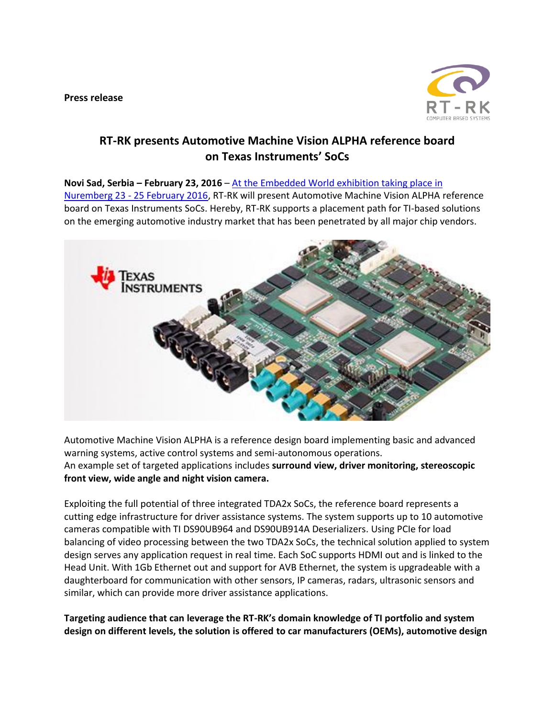**Press release**



## **RT-RK presents Automotive Machine Vision ALPHA reference board on Texas Instruments' SoCs**

**Novi Sad, Serbia – February 23, 2016** – [At the Embedded World exhibition taking place in](https://www.embedded-world.de/en)  Nuremberg 23 - [25 February 2016,](https://www.embedded-world.de/en) RT-RK will present Automotive Machine Vision ALPHA reference board on Texas Instruments SoCs. Hereby, RT-RK supports a placement path for TI-based solutions

on the emerging automotive industry market that has been penetrated by all major chip vendors.



Automotive Machine Vision ALPHA is a reference design board implementing basic and advanced warning systems, active control systems and semi-autonomous operations. An example set of targeted applications includes **surround view, driver monitoring, stereoscopic front view, wide angle and night vision camera.**

Exploiting the full potential of three integrated TDA2x SoCs, the reference board represents a cutting edge infrastructure for driver assistance systems. The system supports up to 10 automotive cameras compatible with TI DS90UB964 and DS90UB914A Deserializers. Using PCIe for load balancing of video processing between the two TDA2x SoCs, the technical solution applied to system design serves any application request in real time. Each SoC supports HDMI out and is linked to the Head Unit. With 1Gb Ethernet out and support for AVB Ethernet, the system is upgradeable with a daughterboard for communication with other sensors, IP cameras, radars, ultrasonic sensors and similar, which can provide more driver assistance applications.

**Targeting audience that can leverage the RT-RK's domain knowledge of TI portfolio and system design on different levels, the solution is offered to car manufacturers (OEMs), automotive design**